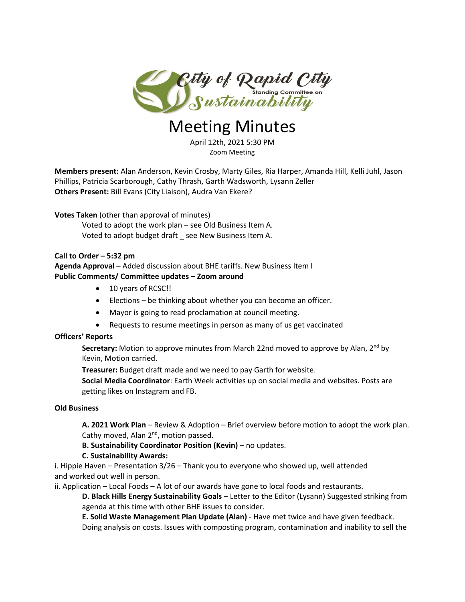

# Meeting Minutes

April 12th, 2021 5:30 PM Zoom Meeting

**Members present:** Alan Anderson, Kevin Crosby, Marty Giles, Ria Harper, Amanda Hill, Kelli Juhl, Jason Phillips, Patricia Scarborough, Cathy Thrash, Garth Wadsworth, Lysann Zeller **Others Present:** Bill Evans (City Liaison), Audra Van Ekere?

**Votes Taken** (other than approval of minutes) Voted to adopt the work plan – see Old Business Item A. Voted to adopt budget draft \_ see New Business Item A.

## **Call to Order – 5:32 pm**

## **Agenda Approval –** Added discussion about BHE tariffs. New Business Item I **Public Comments/ Committee updates – Zoom around**

- 10 years of RCSC!!
- Elections be thinking about whether you can become an officer.
- Mayor is going to read proclamation at council meeting.
- Requests to resume meetings in person as many of us get vaccinated

## **Officers' Reports**

Secretary: Motion to approve minutes from March 22nd moved to approve by Alan, 2<sup>nd</sup> by Kevin, Motion carried.

**Treasurer:** Budget draft made and we need to pay Garth for website.

**Social Media Coordinator**: Earth Week activities up on social media and websites. Posts are getting likes on Instagram and FB.

## **Old Business**

**A. 2021 Work Plan** – Review & Adoption – Brief overview before motion to adopt the work plan. Cathy moved, Alan 2<sup>nd</sup>, motion passed.

**B. Sustainability Coordinator Position (Kevin)** – no updates.

# **C. Sustainability Awards:**

i. Hippie Haven – Presentation 3/26 – Thank you to everyone who showed up, well attended and worked out well in person.

ii. Application – Local Foods – A lot of our awards have gone to local foods and restaurants.

**D. Black Hills Energy Sustainability Goals** – Letter to the Editor (Lysann) Suggested striking from agenda at this time with other BHE issues to consider.

**E. Solid Waste Management Plan Update (Alan)** - Have met twice and have given feedback. Doing analysis on costs. Issues with composting program, contamination and inability to sell the